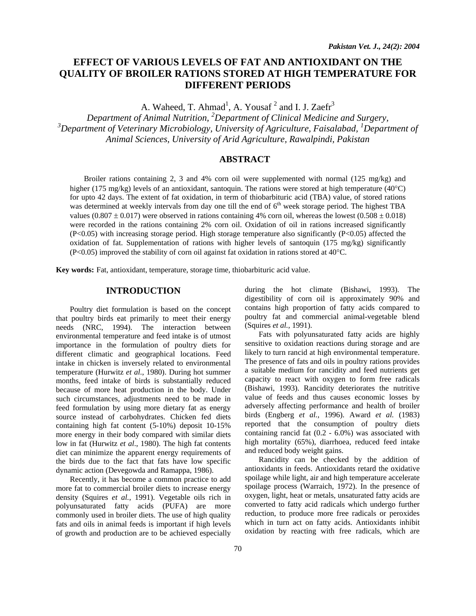# **EFFECT OF VARIOUS LEVELS OF FAT AND ANTIOXIDANT ON THE QUALITY OF BROILER RATIONS STORED AT HIGH TEMPERATURE FOR DIFFERENT PERIODS**

A. Waheed, T. Ahmad<sup>1</sup>, A. Yousaf<sup>2</sup> and I. J. Zaefr<sup>3</sup>

*Department of Animal Nutrition, 2 Department of Clinical Medicine and Surgery,*  <sup>3</sup>Department of Veterinary Microbiology, University of Agriculture, Faisalabad, <sup>1</sup>Department of *Animal Sciences, University of Arid Agriculture, Rawalpindi, Pakistan* 

# **ABSTRACT**

Broiler rations containing 2, 3 and 4% corn oil were supplemented with normal (125 mg/kg) and higher (175 mg/kg) levels of an antioxidant, santoquin. The rations were stored at high temperature (40°C) for upto 42 days. The extent of fat oxidation, in term of thiobarbituric acid (TBA) value, of stored rations was determined at weekly intervals from day one till the end of  $6<sup>th</sup>$  week storage period. The highest TBA values (0.807  $\pm$  0.017) were observed in rations containing 4% corn oil, whereas the lowest (0.508  $\pm$  0.018) were recorded in the rations containing 2% corn oil. Oxidation of oil in rations increased significantly  $(P<0.05)$  with increasing storage period. High storage temperature also significantly  $(P<0.05)$  affected the oxidation of fat. Supplementation of rations with higher levels of santoquin  $(175 \text{ mg/kg})$  significantly (P<0.05) improved the stability of corn oil against fat oxidation in rations stored at 40°C.

**Key words:** Fat, antioxidant, temperature, storage time, thiobarbituric acid value.

# **INTRODUCTION**

Poultry diet formulation is based on the concept that poultry birds eat primarily to meet their energy needs (NRC, 1994). The interaction between environmental temperature and feed intake is of utmost importance in the formulation of poultry diets for different climatic and geographical locations. Feed intake in chicken is inversely related to environmental temperature (Hurwitz *et al*., 1980). During hot summer months, feed intake of birds is substantially reduced because of more heat production in the body. Under such circumstances, adjustments need to be made in feed formulation by using more dietary fat as energy source instead of carbohydrates. Chicken fed diets containing high fat content (5-10%) deposit 10-15% more energy in their body compared with similar diets low in fat (Hurwitz *et al*., 1980). The high fat contents diet can minimize the apparent energy requirements of the birds due to the fact that fats have low specific dynamic action (Devegowda and Ramappa, 1986).

Recently, it has become a common practice to add more fat to commercial broiler diets to increase energy density (Squires *et al.*, 1991). Vegetable oils rich in polyunsaturated fatty acids (PUFA) are more commonly used in broiler diets. The use of high quality fats and oils in animal feeds is important if high levels of growth and production are to be achieved especially

during the hot climate (Bishawi, 1993). The digestibility of corn oil is approximately 90% and contains high proportion of fatty acids compared to poultry fat and commercial animal-vegetable blend (Squires *et al.,* 1991).

Fats with polyunsaturated fatty acids are highly sensitive to oxidation reactions during storage and are likely to turn rancid at high environmental temperature. The presence of fats and oils in poultry rations provides a suitable medium for rancidity and feed nutrients get capacity to react with oxygen to form free radicals (Bishawi, 1993). Rancidity deteriorates the nutritive value of feeds and thus causes economic losses by adversely affecting performance and health of broiler birds (Engberg *et al.*, 1996). Award *et al.* (1983) reported that the consumption of poultry diets containing rancid fat (0.2 - 6.0%) was associated with high mortality (65%), diarrhoea, reduced feed intake and reduced body weight gains.

Rancidity can be checked by the addition of antioxidants in feeds. Antioxidants retard the oxidative spoilage while light, air and high temperature accelerate spoilage process (Warraich, 1972). In the presence of oxygen, light, heat or metals, unsaturated fatty acids are converted to fatty acid radicals which undergo further reduction, to produce more free radicals or peroxides which in turn act on fatty acids. Antioxidants inhibit oxidation by reacting with free radicals, which are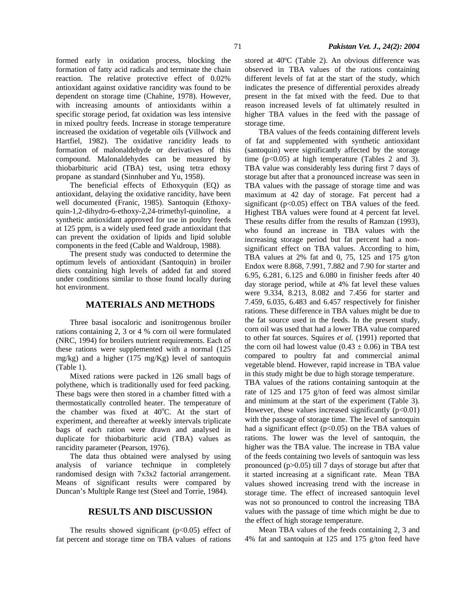formed early in oxidation process, blocking the formation of fatty acid radicals and terminate the chain reaction. The relative protective effect of 0.02% antioxidant against oxidative rancidity was found to be dependent on storage time (Chahine, 1978). However, with increasing amounts of antioxidants within a specific storage period, fat oxidation was less intensive in mixed poultry feeds. Increase in storage temperature increased the oxidation of vegetable oils (Villwock and Hartfiel, 1982). The oxidative rancidity leads to formation of malonaldehyde or derivatives of this compound. Malonaldehydes can be measured by thiobarbituric acid (TBA) test, using tetra ethoxy propane as standard (Sinnhuber and Yu, 1958).

The beneficial effects of Ethoxyquin (EQ) as antioxidant, delaying the oxidative rancidity, have been well documented (Franic, 1985). Santoquin (Ethoxyquin-1,2-dihydro-6-ethoxy-2,24-trimethyl-quinoline, a synthetic antioxidant approved for use in poultry feeds at 125 ppm, is a widely used feed grade antioxidant that can prevent the oxidation of lipids and lipid soluble components in the feed (Cable and Waldroup, 1988).

The present study was conducted to determine the optimum levels of antioxidant (Santoquin) in broiler diets containing high levels of added fat and stored under conditions similar to those found locally during hot environment.

#### **MATERIALS AND METHODS**

Three basal isocaloric and isonitrogenous broiler rations containing 2, 3 or 4 % corn oil were formulated (NRC, 1994) for broilers nutrient requirements. Each of these rations were supplemented with a normal (125 mg/kg) and a higher (175 mg/Kg) level of santoquin (Table 1).

Mixed rations were packed in 126 small bags of polythene, which is traditionally used for feed packing. These bags were then stored in a chamber fitted with a thermostatically controlled heater. The temperature of the chamber was fixed at 40°C. At the start of experiment, and thereafter at weekly intervals triplicate bags of each ration were drawn and analysed in duplicate for thiobarbituric acid (TBA) values as rancidity parameter (Pearson, 1976).

The data thus obtained were analysed by using analysis of variance technique in completely randomised design with 7x3x2 factorial arrangement. Means of significant results were compared by Duncan's Multiple Range test (Steel and Torrie, 1984).

#### **RESULTS AND DISCUSSION**

The results showed significant  $(p<0.05)$  effect of fat percent and storage time on TBA values of rations

stored at 40ºC (Table 2). An obvious difference was observed in TBA values of the rations containing different levels of fat at the start of the study, which indicates the presence of differential peroxides already present in the fat mixed with the feed. Due to that reason increased levels of fat ultimately resulted in higher TBA values in the feed with the passage of storage time.

TBA values of the feeds containing different levels of fat and supplemented with synthetic antioxidant (santoquin) were significantly affected by the storage time  $(p<0.05)$  at high temperature (Tables 2 and 3). TBA value was considerably less during first 7 days of storage but after that a pronounced increase was seen in TBA values with the passage of storage time and was maximum at 42 day of storage. Fat percent had a significant  $(p<0.05)$  effect on TBA values of the feed. Highest TBA values were found at 4 percent fat level. These results differ from the results of Ramzan (1993), who found an increase in TBA values with the increasing storage period but fat percent had a nonsignificant effect on TBA values. According to him, TBA values at 2% fat and 0, 75, 125 and 175 g/ton Endox were 8.868, 7.991, 7.882 and 7.90 for starter and 6.95, 6.281, 6.125 and 6.080 in finisher feeds after 40 day storage period, while at 4% fat level these values were 9.334, 8.213, 8.082 and 7.456 for starter and 7.459, 6.035, 6.483 and 6.457 respectively for finisher rations. These difference in TBA values might be due to the fat source used in the feeds. In the present study, corn oil was used that had a lower TBA value compared to other fat sources. Squires *et al.* (1991) reported that the corn oil had lowest value (0.43  $\pm$  0.06) in TBA test compared to poultry fat and commercial animal vegetable blend. However, rapid increase in TBA value in this study might be due to high storage temperature.

TBA values of the rations containing santoquin at the rate of 125 and 175 g/ton of feed was almost similar and minimum at the start of the experiment (Table 3). However, these values increased significantly  $(p<0.01)$ with the passage of storage time. The level of santoquin had a significant effect  $(p<0.05)$  on the TBA values of rations. The lower was the level of santoquin, the higher was the TBA value. The increase in TBA value of the feeds containing two levels of santoquin was less pronounced (p>0.05) till 7 days of storage but after that it started increasing at a significant rate. Mean TBA values showed increasing trend with the increase in storage time. The effect of increased santoquin level was not so pronounced to control the increasing TBA values with the passage of time which might be due to the effect of high storage temperature.

Mean TBA values of the feeds containing 2, 3 and 4% fat and santoquin at 125 and 175 g/ton feed have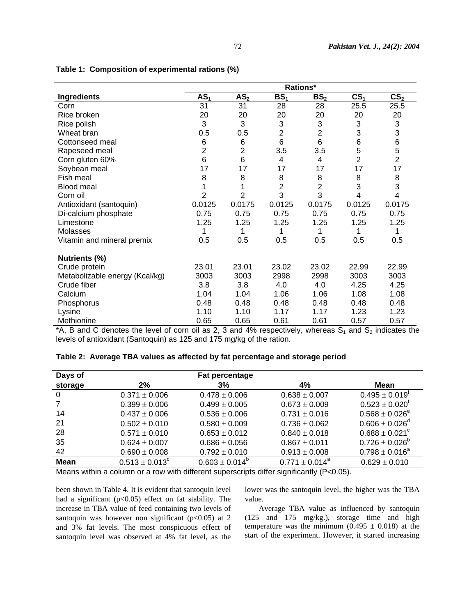|                                | Rations*        |                 |                           |                 |                 |                           |
|--------------------------------|-----------------|-----------------|---------------------------|-----------------|-----------------|---------------------------|
| Ingredients                    | AS <sub>1</sub> | AS <sub>2</sub> | BS <sub>1</sub>           | BS <sub>2</sub> | CS <sub>1</sub> | CS <sub>2</sub>           |
| Corn                           | 31              | 31              | 28                        | 28              | 25.5            | 25.5                      |
| Rice broken                    | 20              | 20              | 20                        | 20              | 20              | 20                        |
| Rice polish                    | 3               | 3               | $\ensuremath{\mathsf{3}}$ | 3               | 3               | $\ensuremath{\mathsf{3}}$ |
| Wheat bran                     | 0.5             | 0.5             | $\overline{2}$            | $\overline{2}$  | 3               | 3                         |
| Cottonseed meal                | 6               | 6               | $\,6$                     | 6               | 6               | $\,6$                     |
| Rapeseed meal                  | $\overline{2}$  | $\overline{2}$  | 3.5                       | 3.5             | 5               | 5                         |
| Corn gluten 60%                | 6               | 6               | 4                         | 4               | $\overline{2}$  | $\overline{c}$            |
| Soybean meal                   | 17              | 17              | 17                        | 17              | 17              | 17                        |
| Fish meal                      | 8               | 8               | 8                         | 8               | 8               | 8                         |
| <b>Blood meal</b>              | 1               | 1               | $\overline{2}$            | $\overline{2}$  | 3               | 3                         |
| Corn oil                       | $\overline{2}$  | $\overline{2}$  | 3                         | 3               | 4               | 4                         |
| Antioxidant (santoquin)        | 0.0125          | 0.0175          | 0.0125                    | 0.0175          | 0.0125          | 0.0175                    |
| Di-calcium phosphate           | 0.75            | 0.75            | 0.75                      | 0.75            | 0.75            | 0.75                      |
| Limestone                      | 1.25            | 1.25            | 1.25                      | 1.25            | 1.25            | 1.25                      |
| Molasses                       | 1               | 1               | 1                         | 1               | 1               | 1                         |
| Vitamin and mineral premix     | 0.5             | 0.5             | 0.5                       | 0.5             | 0.5             | 0.5                       |
| Nutrients (%)                  |                 |                 |                           |                 |                 |                           |
| Crude protein                  | 23.01           | 23.01           | 23.02                     | 23.02           | 22.99           | 22.99                     |
| Metabolizable energy (Kcal/kg) | 3003            | 3003            | 2998                      | 2998            | 3003            | 3003                      |
| Crude fiber                    | 3.8             | 3.8             | 4.0                       | 4.0             | 4.25            | 4.25                      |
| Calcium                        | 1.04            | 1.04            | 1.06                      | 1.06            | 1.08            | 1.08                      |
| Phosphorus                     | 0.48            | 0.48            | 0.48                      | 0.48            | 0.48            | 0.48                      |
| Lysine                         | 1.10            | 1.10            | 1.17                      | 1.17            | 1.23            | 1.23                      |
| Methionine                     | 0.65            | 0.65            | 0.61                      | 0.61            | 0.57            | 0.57                      |

## **Table 1: Composition of experimental rations (%)**

\*A, B and C denotes the level of corn oil as 2, 3 and 4% respectively, whereas  $S_1$  and  $S_2$  indicates the levels of antioxidant (Santoquin) as 125 and 175 mg/kg of the ration.

| Days of |                     | <b>Fat percentage</b> |                     |                                |
|---------|---------------------|-----------------------|---------------------|--------------------------------|
| storage | 2%                  | 3%                    | 4%                  | Mean                           |
| -0      | $0.371 \pm 0.006$   | $0.478 \pm 0.006$     | $0.638 \pm 0.007$   | $0.495 \pm 0.019$ <sup>t</sup> |
|         | $0.399 \pm 0.006$   | $0.499 \pm 0.005$     | $0.673 \pm 0.009$   | $0.523 \pm 0.020^{\dagger}$    |
| 14      | $0.437 \pm 0.006$   | $0.536 \pm 0.006$     | $0.731 \pm 0.016$   | $0.568 \pm 0.026^e$            |
| 21      | $0.502 \pm 0.010$   | $0.580 \pm 0.009$     | $0.736 \pm 0.062$   | $0.606 \pm 0.026^d$            |
| 28      | $0.571 \pm 0.010$   | $0.653 \pm 0.012$     | $0.840 \pm 0.018$   | $0.688 \pm 0.021^{\circ}$      |
| 35      | $0.624 \pm 0.007$   | $0.686 \pm 0.056$     | $0.867 \pm 0.011$   | $0.726 \pm 0.026^b$            |
| 42      | $0.690 \pm 0.008$   | $0.792 \pm 0.010$     | $0.913 \pm 0.008$   | $0.798 \pm 0.016^a$            |
| Mean    | $0.513 \pm 0.013^c$ | $0.603 \pm 0.014^b$   | $0.771 \pm 0.014^a$ | $0.629 \pm 0.010$              |

**Table 2: Average TBA values as affected by fat percentage and storage period** 

Means within a column or a row with different superscripts differ significantly (P<0.05).

been shown in Table 4. It is evident that santoquin level had a significant  $(p<0.05)$  effect on fat stability. The increase in TBA value of feed containing two levels of santoquin was however non significant ( $p<0.05$ ) at 2 and 3% fat levels. The most conspicuous effect of santoquin level was observed at 4% fat level, as the

lower was the santoquin level, the higher was the TBA value.

Average TBA value as influenced by santoquin (125 and 175 mg/kg.), storage time and high temperature was the minimum (0.495  $\pm$  0.018) at the start of the experiment. However, it started increasing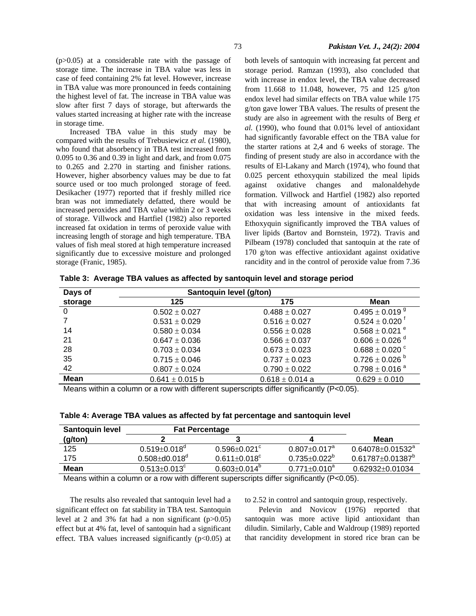(p>0.05) at a considerable rate with the passage of storage time. The increase in TBA value was less in case of feed containing 2% fat level. However, increase in TBA value was more pronounced in feeds containing the highest level of fat. The increase in TBA value was slow after first 7 days of storage, but afterwards the values started increasing at higher rate with the increase in storage time.

Increased TBA value in this study may be compared with the results of Trebusiewicz *et al.* (1980), who found that absorbency in TBA test increased from 0.095 to 0.36 and 0.39 in light and dark, and from 0.075 to 0.265 and 2.270 in starting and finisher rations. However, higher absorbency values may be due to fat source used or too much prolonged storage of feed. Desikacher (1977) reported that if freshly milled rice bran was not immediately defatted, there would be increased peroxides and TBA value within 2 or 3 weeks of storage. Villwock and Hartfiel (1982) also reported increased fat oxidation in terms of peroxide value with increasing length of storage and high temperature. TBA values of fish meal stored at high temperature increased significantly due to excessive moisture and prolonged storage (Franic, 1985).

both levels of santoquin with increasing fat percent and storage period. Ramzan (1993), also concluded that with increase in endox level, the TBA value decreased from 11.668 to 11.048, however, 75 and 125 g/ton endox level had similar effects on TBA value while 175 g/ton gave lower TBA values. The results of present the study are also in agreement with the results of Berg *et al.* (1990), who found that 0.01% level of antioxidant had significantly favorable effect on the TBA value for the starter rations at 2,4 and 6 weeks of storage. The finding of present study are also in accordance with the results of El-Lakany and March (1974), who found that 0.025 percent ethoxyquin stabilized the meal lipids against oxidative changes and malonaldehyde formation. Villwock and Hartfiel (1982) also reported that with increasing amount of antioxidants fat oxidation was less intensive in the mixed feeds. Ethoxyquin significantly improved the TBA values of liver lipids (Bartov and Bornstein, 1972). Travis and Pilbeam (1978) concluded that santoquin at the rate of 170 g/ton was effective antioxidant against oxidative rancidity and in the control of peroxide value from 7.36

**Table 3: Average TBA values as affected by santoquin level and storage period** 

| Days of     | Santoquin level (g/ton) |                     |                                |  |
|-------------|-------------------------|---------------------|--------------------------------|--|
| storage     | 125                     | 175                 | Mean                           |  |
| 0           | $0.502 \pm 0.027$       | $0.488 \pm 0.027$   | $0.495 \pm 0.019$ <sup>9</sup> |  |
|             | $0.531 \pm 0.029$       | $0.516 \pm 0.027$   | $0.524 \pm 0.020$ <sup>t</sup> |  |
| 14          | $0.580 \pm 0.034$       | $0.556 \pm 0.028$   | $0.568 \pm 0.021$ <sup>e</sup> |  |
| 21          | $0.647 \pm 0.036$       | $0.566 \pm 0.037$   | $0.606 \pm 0.026$ <sup>d</sup> |  |
| 28          | $0.703 \pm 0.034$       | $0.673 \pm 0.023$   | $0.688 \pm 0.020$ $\degree$    |  |
| 35          | $0.715 \pm 0.046$       | $0.737 \pm 0.023$   | $0.726 \pm 0.026$ <sup>b</sup> |  |
| 42          | $0.807 \pm 0.024$       | $0.790 \pm 0.022$   | $0.798 \pm 0.016$ <sup>a</sup> |  |
| <b>Mean</b> | $0.641 \pm 0.015$ b     | $0.618 \pm 0.014$ a | $0.629 \pm 0.010$              |  |
|             |                         |                     |                                |  |

Means within a column or a row with different superscripts differ significantly (P<0.05).

|  | Table 4: Average TBA values as affected by fat percentage and santoquin level |  |
|--|-------------------------------------------------------------------------------|--|
|  |                                                                               |  |

| <b>Santoquin level</b> | <b>Fat Percentage</b>          |                                |                           |                               |
|------------------------|--------------------------------|--------------------------------|---------------------------|-------------------------------|
| (g/ton)                |                                |                                |                           | Mean                          |
| 125                    | $0.519 \pm 0.018$ <sup>a</sup> | $0.596 + 0.021$ <sup>c</sup>   | $0.807 \pm 0.017^a$       | $0.64078 \pm 0.01532^{\circ}$ |
| 175                    | $0.508 \pm d0.018^{\circ}$     | $0.611 \pm 0.018$ <sup>c</sup> | $0.735 \pm 0.022^{\circ}$ | $0.61787 \pm 0.01387^{\circ}$ |
| Mean                   | $0.513 \pm 0.013^c$            | $0.603 \pm 0.014^{\circ}$      | $0.771 + 0.010^a$         | $0.62932 + 0.01034$           |
| .<br>.                 |                                | .                              |                           |                               |

Means within a column or a row with different superscripts differ significantly (P<0.05).

The results also revealed that santoquin level had a significant effect on fat stability in TBA test. Santoquin level at 2 and 3% fat had a non significant  $(p>0.05)$ effect but at 4% fat, level of santoquin had a significant effect. TBA values increased significantly  $(p<0.05)$  at

to 2.52 in control and santoquin group, respectively.

Pelevin and Novicov (1976) reported that santoquin was more active lipid antioxidant than diludin. Similarly, Cable and Waldroup (1989) reported that rancidity development in stored rice bran can be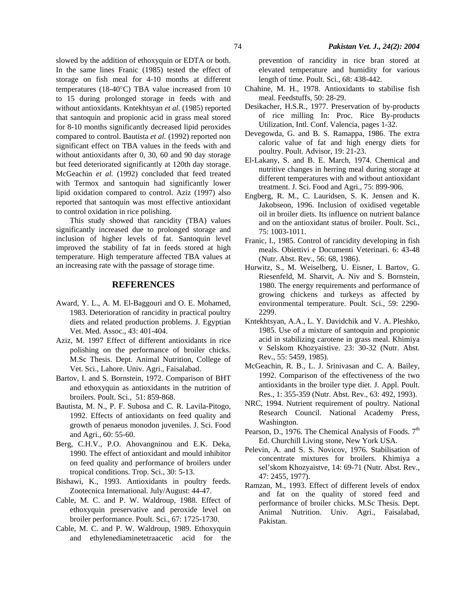slowed by the addition of ethoxyquin or EDTA or both. In the same lines Franic (1985) tested the effect of storage on fish meal for 4-10 months at different temperatures (18-40°C) TBA value increased from 10 to 15 during prolonged storage in feeds with and without antioxidants. Kntekhtsyan *et al.* (1985) reported that santoquin and propionic acid in grass meal stored for 8-10 months significantly decreased lipid peroxides compared to control. Bautista *et al.* (1992) reported non significant effect on TBA values in the feeds with and without antioxidants after 0, 30, 60 and 90 day storage but feed deteriorated significantly at 120th day storage. McGeachin *et al.* (1992) concluded that feed treated with Termox and santoquin had significantly lower lipid oxidation compared to control. Aziz (1997) also reported that santoquin was most effective antioxidant to control oxidation in rice polishing.

This study showed that rancidity (TBA) values significantly increased due to prolonged storage and inclusion of higher levels of fat. Santoquin level improved the stability of fat in feeds stored at high temperature. High temperature affected TBA values at an increasing rate with the passage of storage time.

## **REFERENCES**

- Award, Y. L., A. M. El-Baggouri and O. E. Mohamed, 1983. Deterioration of rancidity in practical poultry diets and related production problems. J. Egyptian Vet. Med. Assoc., 43: 401-404.
- Aziz, M. 1997 Effect of different antioxidants in rice polishing on the performance of broiler chicks. M.Sc Thesis. Dept. Animal Nutrition, College of Vet. Sci., Lahore. Univ. Agri., Faisalabad.
- Bartov, I. and S. Bornstein, 1972. Comparison of BHT and ethoxyquin as antioxidants in the nutrition of broilers. Poult. Sci., 51: 859-868.
- Bautista, M. N., P. F. Subosa and C. R. Lavila-Pitogo, 1992. Effects of antioxidants on feed quality and growth of penaeus monodon juveniles. J. Sci. Food and Agri., 60: 55-60.
- Berg, C.H.V., P.O. Ahovangninou and E.K. Deka, 1990. The effect of antioxidant and mould inhibitor on feed quality and performance of broilers under tropical conditions. Trop. Sci., 30: 5-13.
- Bishawi, K., 1993. Antioxidants in poultry feeds. Zootecnica International. July/August: 44-47.
- Cable, M. C. and P. W. Waldroup, 1988. Effect of ethoxyquin preservative and peroxide level on broiler performance. Poult. Sci., 67: 1725-1730.
- Cable, M. C. and P. W. Waldroup, 1989. Ethoxyquin and ethylenediaminetetraacetic acid for the

prevention of rancidity in rice bran stored at elevated temperature and humidity for various length of time. Poult. Sci., 68: 438-442.

- Chahine, M. H., 1978. Antioxidants to stabilise fish meal. Feedstuffs, 50: 28-29.
- Desikacher, H.S.R., 1977. Preservation of by-products of rice milling In: Proc. Rice By-products Utilization, Intl. Conf. Valencia, pages 1-32.
- Devegowda, G. and B. S. Ramappa, 1986. The extra caloric value of fat and high energy diets for poultry. Poult. Advisor, 19: 21-23.
- El-Lakany, S. and B. E. March, 1974. Chemical and nutritive changes in herring meal during storage at different temperatures with and without antioxidant treatment. J. Sci. Food and Agri., 75: 899-906.
- Engberg, R. M., C. Lauridsen, S. K. Jensen and K. Jakobseon, 1996. Inclusion of oxidised vegetable oil in broiler diets. Its influence on nutrient balance and on the antioxidant status of broiler. Poult. Sci., 75: 1003-1011.
- Franic, I., 1985. Control of rancidity developing in fish meals. Obiettivi e Documenti Veterinari. 6: 43-48 (Nutr. Abst. Rev., 56: 68, 1986).
- Hurwitz, S., M. Weiselberg, U. Eisner, I. Bartov, G. Riesenfeld, M. Sharvit, A. Niv and S. Bornstein, 1980. The energy requirements and performance of growing chickens and turkeys as affected by environmental temperature. Poult. Sci., 59: 2290- 2299.
- Kntekhtsyan, A.A., L. Y. Davidchik and V. A. Pleshko, 1985. Use of a mixture of santoquin and propionic acid in stabilizing carotene in grass meal. Khimiya v Selskom Khozyaistive. 23: 30-32 (Nutr. Abst. Rev., 55: 5459, 1985).
- McGeachin, R. B., L. J. Srinivasan and C. A. Bailey, 1992. Comparison of the effectiveness of the two antioxidants in the broiler type diet. J. Appl. Poult. Res., 1: 355-359 (Nutr. Abst. Rev., 63: 492, 1993).
- NRC, 1994. Nutrient requirement of poultry. National Research Council. National Academy Press, Washington.
- Pearson, D., 1976. The Chemical Analysis of Foods.  $7<sup>th</sup>$ Ed. Churchill Living stone, New York USA.
- Pelevin, A. and S. S. Novicov, 1976. Stabilisation of concentrate mixtures for broilers. Khimiya a sel'skom Khozyaistve, 14: 69-71 (Nutr. Abst. Rev., 47: 2455, 1977).
- Ramzan, M., 1993. Effect of different levels of endox and fat on the quality of stored feed and performance of broiler chicks. M.Sc Thesis. Dept. Animal Nutrition. Univ. Agri., Faisalabad, Pakistan.